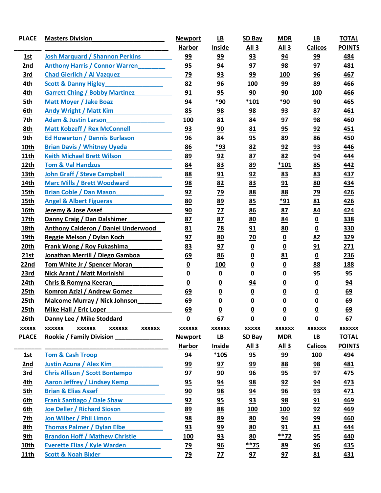| <b>PLACE</b> | <b>Masters Division</b>                                          | <b>Newport</b>           | $\underline{\mathsf{LB}}$ | SD Bay                   | <b>MDR</b>               | $\underline{\mathsf{LB}}$    | <b>TOTAL</b>                  |
|--------------|------------------------------------------------------------------|--------------------------|---------------------------|--------------------------|--------------------------|------------------------------|-------------------------------|
|              |                                                                  | <b>Harbor</b>            | <b>Inside</b>             | All <sub>3</sub>         | All <sub>3</sub>         | <b>Calicos</b>               | <b>POINTS</b>                 |
| 1st          | <b>Josh Marquard / Shannon Perkins</b>                           | <u>99</u>                | <u>99</u>                 | 93                       | 94                       | <u>99</u>                    | 484                           |
| 2nd          | <b>Anthony Harris / Connor Warren</b>                            | 95                       | 94                        | 97                       | <u>98</u>                | 97                           | 481                           |
| 3rd          | <b>Chad Gierlich / Al Vazquez</b>                                | <u>79</u>                | 93                        | 99                       | 100                      | 96                           | 467                           |
| 4th          | <b>Scott &amp; Danny Higley</b>                                  | 82                       | 96                        | <b>100</b>               | 99                       | 89                           | 466                           |
| 4th          | <b>Garrett Ching / Bobby Martinez</b>                            | 91                       | 95                        | 90                       | 90                       | <b>100</b>                   | 466                           |
| 5th          | Matt Moyer / Jake Boaz                                           | 94                       | *90                       | $*101$                   | *90                      | 90                           | 465                           |
| 6th          | <b>Andy Wright / Matt Kim</b>                                    | 85                       | <u>98</u>                 | 98                       | <u>93</u>                | 87                           | 461                           |
| 7th          | <b>Adam &amp; Justin Larson</b>                                  | <b>100</b>               | 81                        | <u>84</u>                | 97                       | 98                           | 460                           |
| 8th          | <b>Matt Kobzeff / Rex McConnell</b>                              | 93                       | 90                        | 81                       | 95                       | 92                           | 451                           |
| 9th          | <b>Ed Howerton / Dennis Burlason</b>                             | 96                       | 84                        | 95                       | <u>89</u>                | 86                           | 450                           |
| 10th         | <b>Brian Davis / Whitney Uyeda</b>                               | 86                       | *93                       | 82                       | 92                       | 93                           | 446                           |
| <b>11th</b>  | <b>Keith Michael Brett Wilson</b>                                | 89                       | 92                        | 87                       | 82                       | 94                           | 444                           |
| 12th         | <b>Tom &amp; Val Handzus</b>                                     | 84                       | 83                        | 89                       | $*101$                   | 85                           | 442                           |
| 13th         | <b>John Graff / Steve Campbell</b>                               | 88                       | 91                        | 92                       | 83                       | 83                           | 437                           |
| 14th         | <b>Marc Mills / Brett Woodward</b>                               | 98                       | 82                        | 83                       | 91                       | 80                           | 434                           |
| 15th         | <b>Brian Coble / Dan Mason</b>                                   | 92                       | <u>79</u>                 | <u>88</u>                | 88                       | <u>79</u>                    | 426                           |
| 15th         | <b>Angel &amp; Albert Figueras</b>                               | 80                       | <u>89</u>                 | 85                       | *91                      | 81                           | 426                           |
| 16th         | Jeremy & Jose Assef                                              | 90                       | 77                        | 86                       | 87                       | 84                           | 424                           |
| 17th         | Danny Craig / Dan Dalshimer                                      | 87                       | 87                        | <u>80</u>                | 84                       | $\underline{\mathbf{0}}$     | 338                           |
| 18th         | <b>Anthony Calderon / Daniel Underwood</b>                       | 81                       | 78                        | 91                       | 80                       | $\underline{\mathbf{0}}$     | 330                           |
| 19th         | Reggie Melson / Dylan Koch                                       | 97                       | 80                        | $\overline{20}$          | $\underline{\mathbf{0}}$ | 82                           | 329                           |
| 20th         | <b>Frank Wong / Roy Fukashima</b>                                | 83                       | 97                        | $\underline{\mathbf{0}}$ | $\underline{\mathbf{0}}$ | 91                           | 271                           |
| 21st         | Jonathan Merrill / Diego Gamboa                                  | <u>69</u>                | 86                        | $\underline{\mathbf{0}}$ | 81                       | $\underline{\mathbf{0}}$     | 236                           |
| 22nd         | Tom White Jr / Spencer Moran                                     | $\overline{\mathbf{0}}$  | 100                       | $\underline{\mathbf{0}}$ | $\underline{\mathbf{0}}$ | 88                           | <b>188</b>                    |
| 23rd         | Nick Arant / Matt Morinishi                                      | 0                        | $\mathbf 0$               | $\mathbf 0$              | 0                        | 95                           | 95                            |
| 24th         | Chris & Romyna Keeran                                            | $\underline{\mathbf{0}}$ | <u>0</u>                  | <u>94</u>                | $\overline{\mathbf{0}}$  | $\underline{\mathbf{0}}$     | 94                            |
| 25th         | Komron Azizi / Andrew Gomez                                      | 69                       | $\overline{\mathbf{0}}$   | $\underline{\mathbf{0}}$ | $\underline{\mathbf{0}}$ | $\underline{\mathbf{0}}$     | 69                            |
| 25th         | <b>Malcome Murray / Nick Johnson</b>                             | <u>69</u>                | $\overline{\mathbf{0}}$   | $\underline{\mathbf{0}}$ | $\underline{\mathbf{0}}$ | $\overline{\mathbf{0}}$      | 69                            |
| 25th         | Mike Hall / Eric Loper                                           | 69                       | $\mathbf 0$               | $\mathbf 0$              | $\mathbf 0$              | $\mathbf{0}$                 | 69                            |
| 26th         | Danny Lee / Mike Stoddard                                        | $\underline{\mathbf{0}}$ | 67                        | $\underline{\mathbf{0}}$ | $\underline{\mathbf{0}}$ | $\underline{\mathbf{0}}$     | 62                            |
| <b>XXXXX</b> | <b>XXXXXX</b><br><b>XXXXXX</b><br><b>XXXXXX</b><br><b>XXXXXX</b> | <b>XXXXXX</b>            | <b>XXXXXX</b>             | <b>XXXXX</b>             | <b>XXXXXX</b>            | <b>XXXXXX</b>                | <b>XXXXXX</b>                 |
| <b>PLACE</b> | Rookie / Family Division                                         | <b>Newport</b>           | $\underline{\mathsf{LB}}$ | SD Bay                   | <b>MDR</b>               | $\underline{\mathsf{LB}}$    | <b>TOTAL</b><br><b>POINTS</b> |
| 1st          | <b>Tom &amp; Cash Troop</b>                                      | <b>Harbor</b><br>94      | <b>Inside</b><br>$*105$   | <u>All 3</u><br>95       | All3<br><u>99</u>        | <b>Calicos</b><br><u>100</u> | <u>494</u>                    |
| 2nd          | <b>Justin Acuna / Alex Kim</b>                                   | <u>99</u>                | 97                        | <u>99</u>                | <u>88</u>                | 98                           | <u>481</u>                    |
| <u>3rd</u>   | <b>Chris Allison / Scott Bontempo</b>                            | 97                       | 90                        | $\frac{96}{5}$           | 95                       | 97                           | <u>475</u>                    |
| 4th          | <b>Aaron Jeffrey / Lindsey Kemp</b>                              | 95                       | 94                        | 98                       | 92                       | 94                           | <u>473</u>                    |
| <u>5th</u>   | <b>Brian &amp; Elias Assef</b>                                   | 90                       | 98                        | 94                       | 96                       | 93                           | 471                           |
| 6th          | <b>Frank Santiago / Dale Shaw</b>                                | 92                       | 95                        | 93                       | $\overline{98}$          | 91                           | 469                           |
| 6th          | Joe Deller / Richard Sioson                                      | 89                       | <u>88</u>                 | <u>100</u>               | <u> 100</u>              | 92                           | <u>469</u>                    |
| <u>7th</u>   | Jon Wilber / Phil Limon                                          | 98                       | <u>89</u>                 | 80                       | <u>94</u>                | 99                           | 460                           |
| 8th          | <b>Thomas Palmer / Dylan Elbe</b>                                | 93                       | 99                        | <u>80</u>                | 91                       | 81                           | 444                           |
| 9th          | <b>Brandon Hoff / Mathew Christie</b>                            | <u>100</u>               | 93                        | 80                       | $***72$                  | 95                           | 440                           |
| <u>10th</u>  | <b>Everette Elias / Kyle Warden</b>                              | 79                       | 96                        | $**75$                   | 89                       | 96                           | <u>435</u>                    |
| <b>11th</b>  | <b>Scott &amp; Noah Bixler</b>                                   | <u>79</u>                | <u>77</u>                 | 97                       | 97                       | 81                           | <u>431</u>                    |
|              |                                                                  |                          |                           |                          |                          |                              |                               |